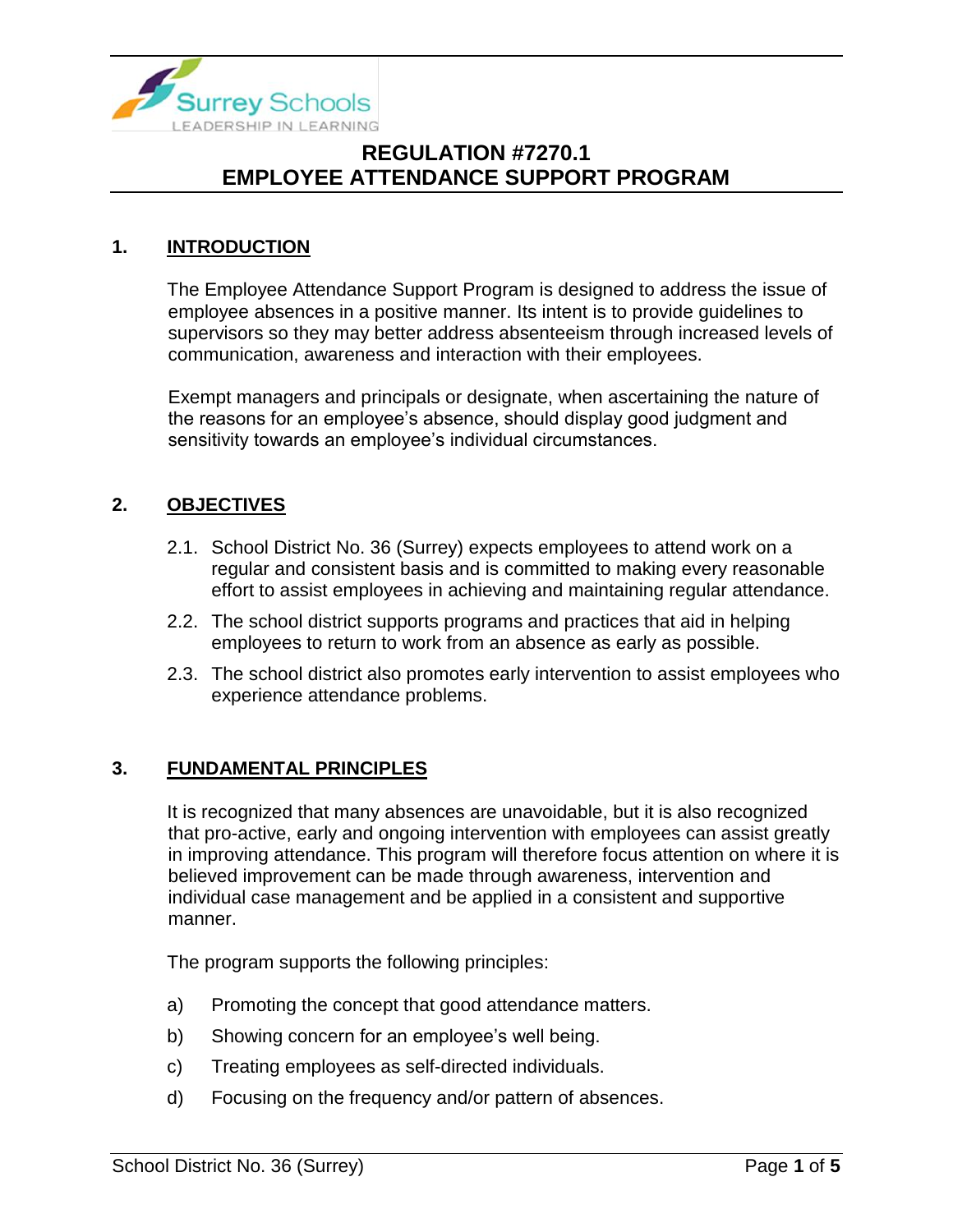

### **1. INTRODUCTION**

The Employee Attendance Support Program is designed to address the issue of employee absences in a positive manner. Its intent is to provide guidelines to supervisors so they may better address absenteeism through increased levels of communication, awareness and interaction with their employees.

Exempt managers and principals or designate, when ascertaining the nature of the reasons for an employee's absence, should display good judgment and sensitivity towards an employee's individual circumstances.

### **2. OBJECTIVES**

- 2.1. School District No. 36 (Surrey) expects employees to attend work on a regular and consistent basis and is committed to making every reasonable effort to assist employees in achieving and maintaining regular attendance.
- 2.2. The school district supports programs and practices that aid in helping employees to return to work from an absence as early as possible.
- 2.3. The school district also promotes early intervention to assist employees who experience attendance problems.

### **3. FUNDAMENTAL PRINCIPLES**

It is recognized that many absences are unavoidable, but it is also recognized that pro-active, early and ongoing intervention with employees can assist greatly in improving attendance. This program will therefore focus attention on where it is believed improvement can be made through awareness, intervention and individual case management and be applied in a consistent and supportive manner.

The program supports the following principles:

- a) Promoting the concept that good attendance matters.
- b) Showing concern for an employee's well being.
- c) Treating employees as self-directed individuals.
- d) Focusing on the frequency and/or pattern of absences.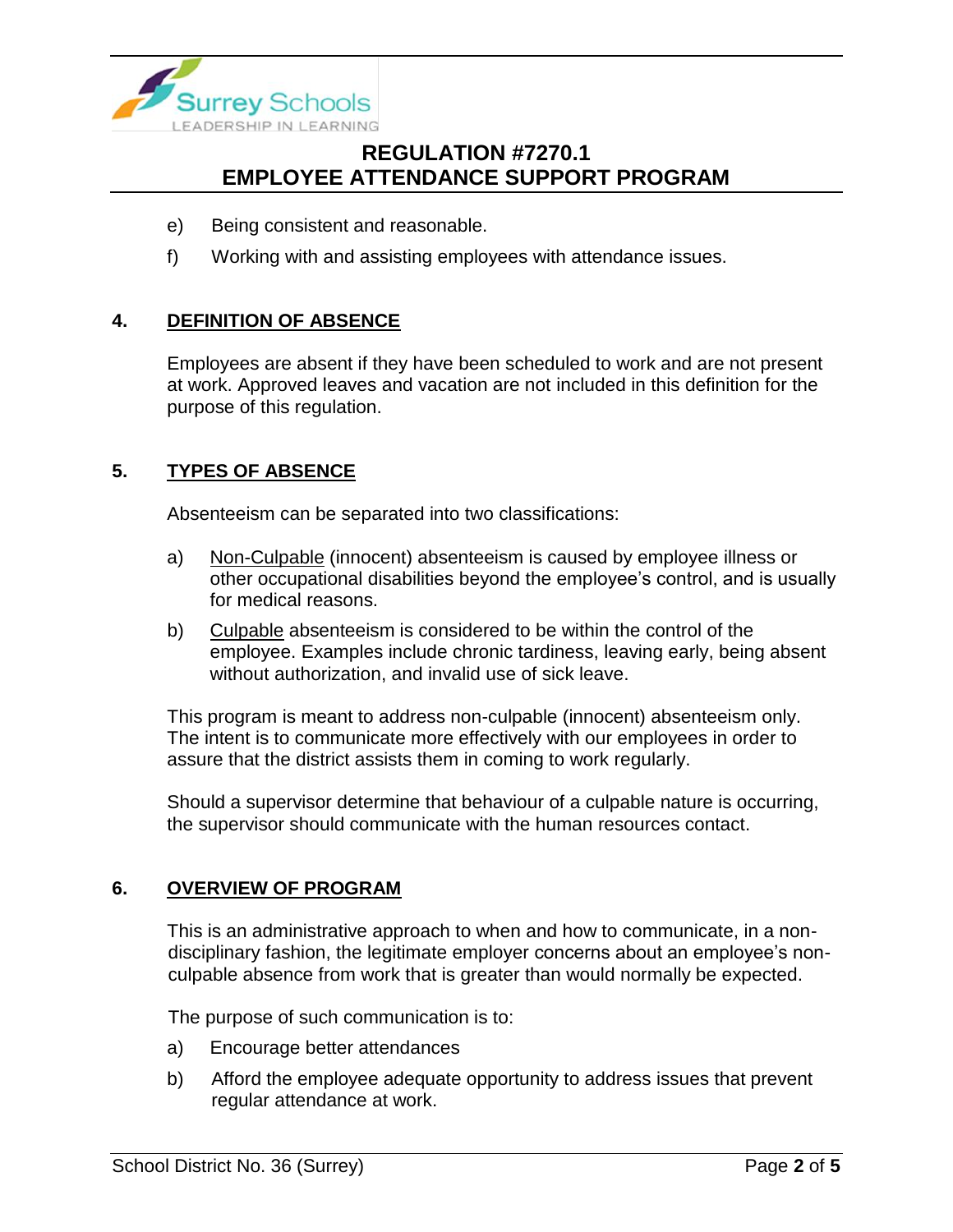

- e) Being consistent and reasonable.
- f) Working with and assisting employees with attendance issues.

### **4. DEFINITION OF ABSENCE**

Employees are absent if they have been scheduled to work and are not present at work. Approved leaves and vacation are not included in this definition for the purpose of this regulation.

### **5. TYPES OF ABSENCE**

Absenteeism can be separated into two classifications:

- a) Non-Culpable (innocent) absenteeism is caused by employee illness or other occupational disabilities beyond the employee's control, and is usually for medical reasons.
- b) Culpable absenteeism is considered to be within the control of the employee. Examples include chronic tardiness, leaving early, being absent without authorization, and invalid use of sick leave.

This program is meant to address non-culpable (innocent) absenteeism only. The intent is to communicate more effectively with our employees in order to assure that the district assists them in coming to work regularly.

Should a supervisor determine that behaviour of a culpable nature is occurring, the supervisor should communicate with the human resources contact.

#### **6. OVERVIEW OF PROGRAM**

This is an administrative approach to when and how to communicate, in a nondisciplinary fashion, the legitimate employer concerns about an employee's nonculpable absence from work that is greater than would normally be expected.

The purpose of such communication is to:

- a) Encourage better attendances
- b) Afford the employee adequate opportunity to address issues that prevent regular attendance at work.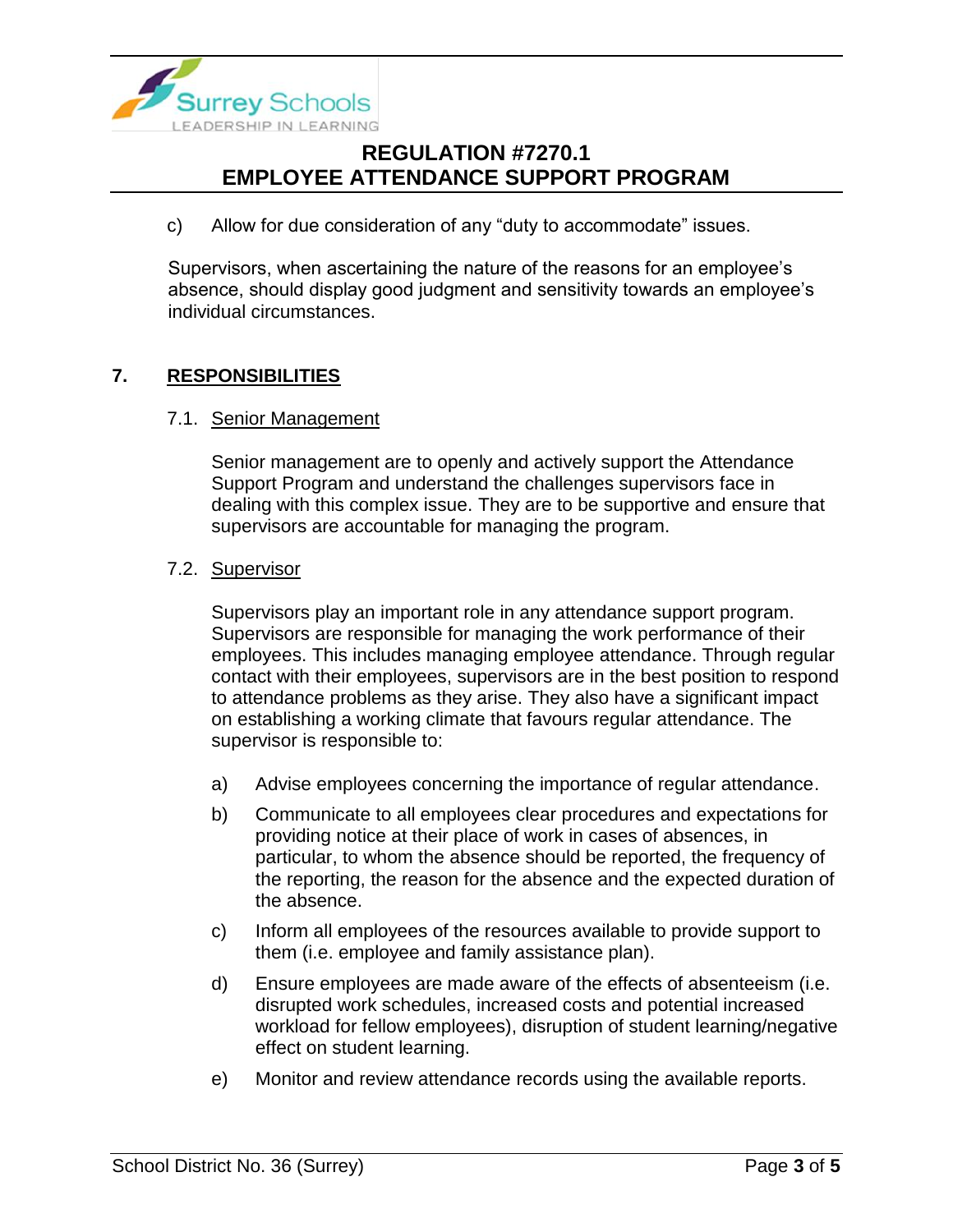

c) Allow for due consideration of any "duty to accommodate" issues.

Supervisors, when ascertaining the nature of the reasons for an employee's absence, should display good judgment and sensitivity towards an employee's individual circumstances.

### **7. RESPONSIBILITIES**

#### 7.1. Senior Management

Senior management are to openly and actively support the Attendance Support Program and understand the challenges supervisors face in dealing with this complex issue. They are to be supportive and ensure that supervisors are accountable for managing the program.

#### 7.2. Supervisor

Supervisors play an important role in any attendance support program. Supervisors are responsible for managing the work performance of their employees. This includes managing employee attendance. Through regular contact with their employees, supervisors are in the best position to respond to attendance problems as they arise. They also have a significant impact on establishing a working climate that favours regular attendance. The supervisor is responsible to:

- a) Advise employees concerning the importance of regular attendance.
- b) Communicate to all employees clear procedures and expectations for providing notice at their place of work in cases of absences, in particular, to whom the absence should be reported, the frequency of the reporting, the reason for the absence and the expected duration of the absence.
- c) Inform all employees of the resources available to provide support to them (i.e. employee and family assistance plan).
- d) Ensure employees are made aware of the effects of absenteeism (i.e. disrupted work schedules, increased costs and potential increased workload for fellow employees), disruption of student learning/negative effect on student learning.
- e) Monitor and review attendance records using the available reports.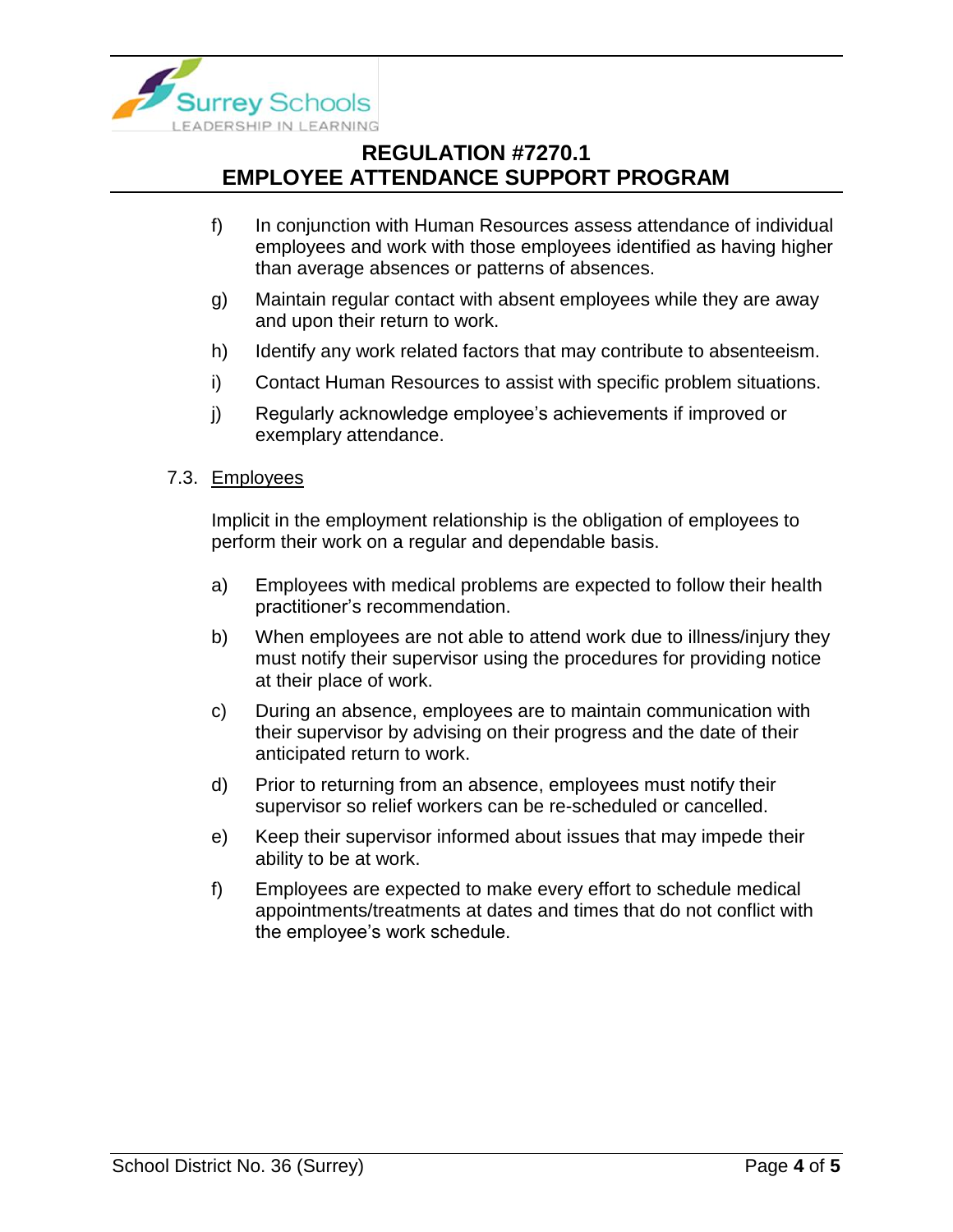

- f) In conjunction with Human Resources assess attendance of individual employees and work with those employees identified as having higher than average absences or patterns of absences.
- g) Maintain regular contact with absent employees while they are away and upon their return to work.
- h) Identify any work related factors that may contribute to absenteeism.
- i) Contact Human Resources to assist with specific problem situations.
- j) Regularly acknowledge employee's achievements if improved or exemplary attendance.
- 7.3. Employees

Implicit in the employment relationship is the obligation of employees to perform their work on a regular and dependable basis.

- a) Employees with medical problems are expected to follow their health practitioner's recommendation.
- b) When employees are not able to attend work due to illness/injury they must notify their supervisor using the procedures for providing notice at their place of work.
- c) During an absence, employees are to maintain communication with their supervisor by advising on their progress and the date of their anticipated return to work.
- d) Prior to returning from an absence, employees must notify their supervisor so relief workers can be re-scheduled or cancelled.
- e) Keep their supervisor informed about issues that may impede their ability to be at work.
- f) Employees are expected to make every effort to schedule medical appointments/treatments at dates and times that do not conflict with the employee's work schedule.